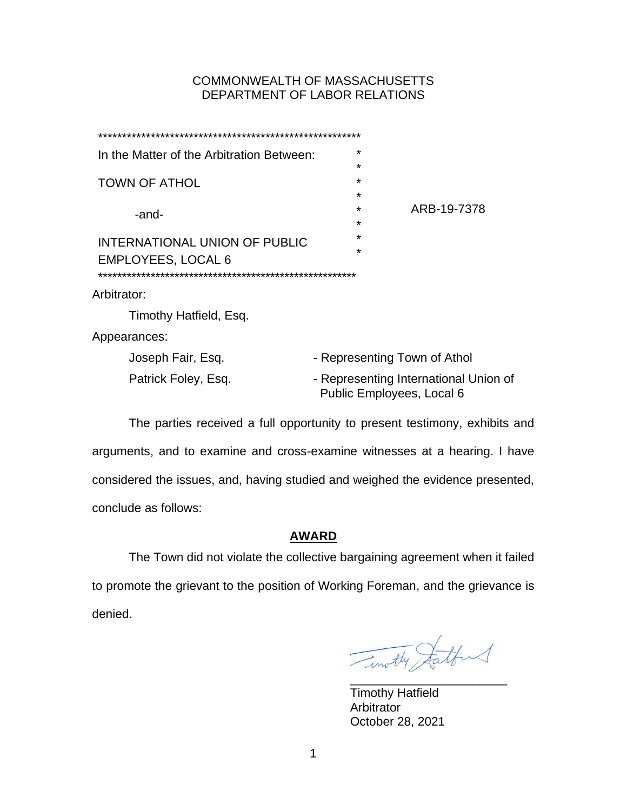# COMMONWEALTH OF MASSACHUSETTS DEPARTMENT OF LABOR RELATIONS

| In the Matter of the Arbitration Between: | $\star$                                                            |
|-------------------------------------------|--------------------------------------------------------------------|
|                                           | $\star$                                                            |
| <b>TOWN OF ATHOL</b>                      | $\star$<br>$\star$                                                 |
| -and-                                     | ARB-19-7378<br>$\star$                                             |
|                                           | $\star$                                                            |
| INTERNATIONAL UNION OF PUBLIC             | $\star$                                                            |
| <b>EMPLOYEES, LOCAL 6</b>                 | $\star$                                                            |
|                                           |                                                                    |
| Arbitrator:                               |                                                                    |
| Timothy Hatfield, Esq.                    |                                                                    |
| Appearances:                              |                                                                    |
| Joseph Fair, Esq.                         | - Representing Town of Athol                                       |
| Patrick Foley, Esq.                       | - Representing International Union of<br>Public Employees, Local 6 |

The parties received a full opportunity to present testimony, exhibits and arguments, and to examine and cross-examine witnesses at a hearing. I have considered the issues, and, having studied and weighed the evidence presented, conclude as follows:

# **AWARD**

The Town did not violate the collective bargaining agreement when it failed to promote the grievant to the position of Working Foreman, and the grievance is denied.

Timothy Satter

Timothy Hatfield Arbitrator October 28, 2021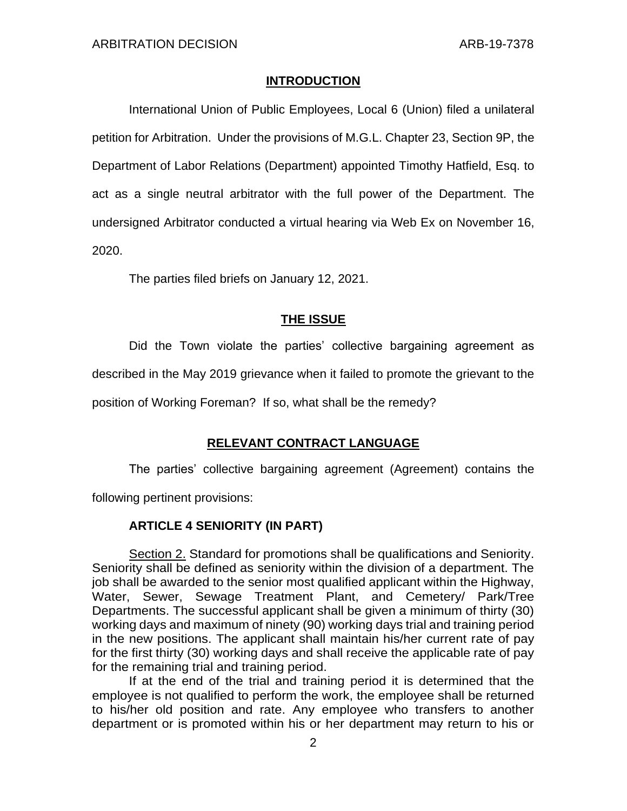## **INTRODUCTION**

International Union of Public Employees, Local 6 (Union) filed a unilateral petition for Arbitration. Under the provisions of M.G.L. Chapter 23, Section 9P, the Department of Labor Relations (Department) appointed Timothy Hatfield, Esq. to act as a single neutral arbitrator with the full power of the Department. The undersigned Arbitrator conducted a virtual hearing via Web Ex on November 16, 2020.

The parties filed briefs on January 12, 2021.

# **THE ISSUE**

Did the Town violate the parties' collective bargaining agreement as described in the May 2019 grievance when it failed to promote the grievant to the

position of Working Foreman? If so, what shall be the remedy?

# **RELEVANT CONTRACT LANGUAGE**

The parties' collective bargaining agreement (Agreement) contains the following pertinent provisions:

# **ARTICLE 4 SENIORITY (IN PART)**

Section 2. Standard for promotions shall be qualifications and Seniority. Seniority shall be defined as seniority within the division of a department. The job shall be awarded to the senior most qualified applicant within the Highway, Water, Sewer, Sewage Treatment Plant, and Cemetery/ Park/Tree Departments. The successful applicant shall be given a minimum of thirty (30) working days and maximum of ninety (90) working days trial and training period in the new positions. The applicant shall maintain his/her current rate of pay for the first thirty (30) working days and shall receive the applicable rate of pay for the remaining trial and training period.

If at the end of the trial and training period it is determined that the employee is not qualified to perform the work, the employee shall be returned to his/her old position and rate. Any employee who transfers to another department or is promoted within his or her department may return to his or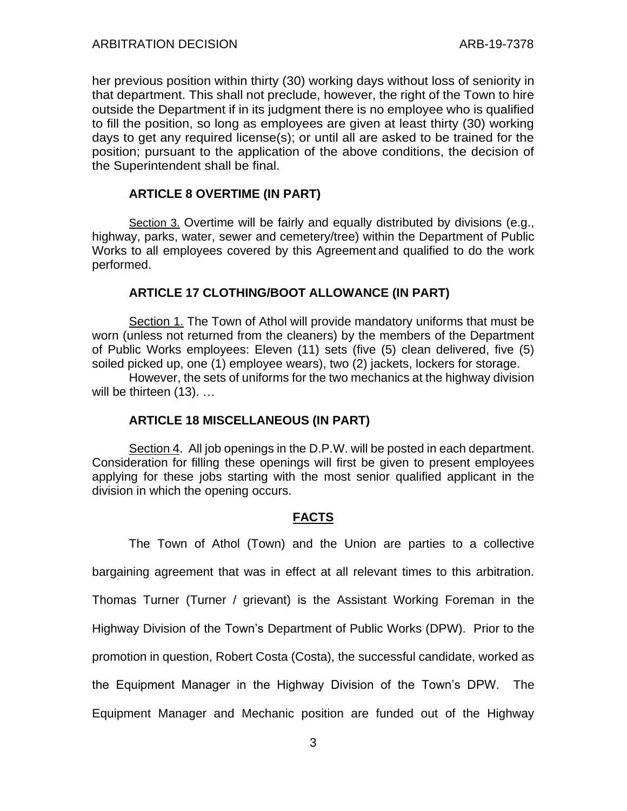her previous position within thirty (30) working days without loss of seniority in that department. This shall not preclude, however, the right of the Town to hire outside the Department if in its judgment there is no employee who is qualified to fill the position, so long as employees are given at least thirty (30) working days to get any required license(s); or until all are asked to be trained for the position; pursuant to the application of the above conditions, the decision of the Superintendent shall be final.

# **ARTICLE 8 OVERTIME (IN PART)**

Section 3. Overtime will be fairly and equally distributed by divisions (e.g., highway, parks, water, sewer and cemetery/tree) within the Department of Public Works to all employees covered by this Agreement and qualified to do the work performed.

# **ARTICLE 17 CLOTHING/BOOT ALLOWANCE (IN PART)**

Section 1. The Town of Athol will provide mandatory uniforms that must be worn (unless not returned from the cleaners) by the members of the Department of Public Works employees: Eleven (11) sets (five (5) clean delivered, five (5) soiled picked up, one (1) employee wears), two (2) jackets, lockers for storage.

However, the sets of uniforms for the two mechanics at the highway division will be thirteen (13). ...

## **ARTICLE 18 MISCELLANEOUS (IN PART)**

Section 4. All job openings in the D.P.W. will be posted in each department. Consideration for filling these openings will first be given to present employees applying for these jobs starting with the most senior qualified applicant in the division in which the opening occurs.

# **FACTS**

The Town of Athol (Town) and the Union are parties to a collective bargaining agreement that was in effect at all relevant times to this arbitration. Thomas Turner (Turner / grievant) is the Assistant Working Foreman in the Highway Division of the Town's Department of Public Works (DPW). Prior to the promotion in question, Robert Costa (Costa), the successful candidate, worked as the Equipment Manager in the Highway Division of the Town's DPW. The Equipment Manager and Mechanic position are funded out of the Highway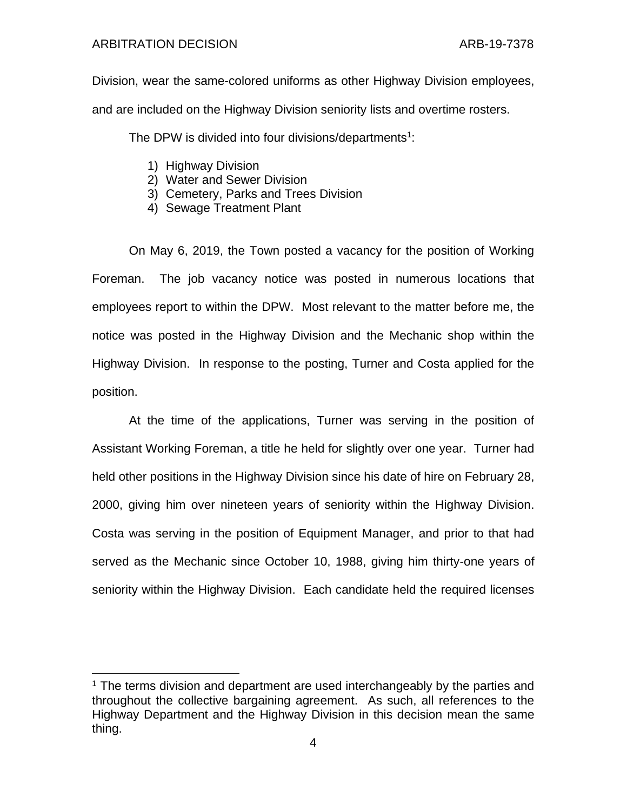## ARBITRATION DECISION ARB-19-7378

Division, wear the same-colored uniforms as other Highway Division employees, and are included on the Highway Division seniority lists and overtime rosters.

The DPW is divided into four divisions/departments<sup>1</sup>:

- 1) Highway Division
- 2) Water and Sewer Division
- 3) Cemetery, Parks and Trees Division
- 4) Sewage Treatment Plant

On May 6, 2019, the Town posted a vacancy for the position of Working Foreman. The job vacancy notice was posted in numerous locations that employees report to within the DPW. Most relevant to the matter before me, the notice was posted in the Highway Division and the Mechanic shop within the Highway Division. In response to the posting, Turner and Costa applied for the position.

At the time of the applications, Turner was serving in the position of Assistant Working Foreman, a title he held for slightly over one year. Turner had held other positions in the Highway Division since his date of hire on February 28, 2000, giving him over nineteen years of seniority within the Highway Division. Costa was serving in the position of Equipment Manager, and prior to that had served as the Mechanic since October 10, 1988, giving him thirty-one years of seniority within the Highway Division. Each candidate held the required licenses

<sup>&</sup>lt;sup>1</sup> The terms division and department are used interchangeably by the parties and throughout the collective bargaining agreement. As such, all references to the Highway Department and the Highway Division in this decision mean the same thing.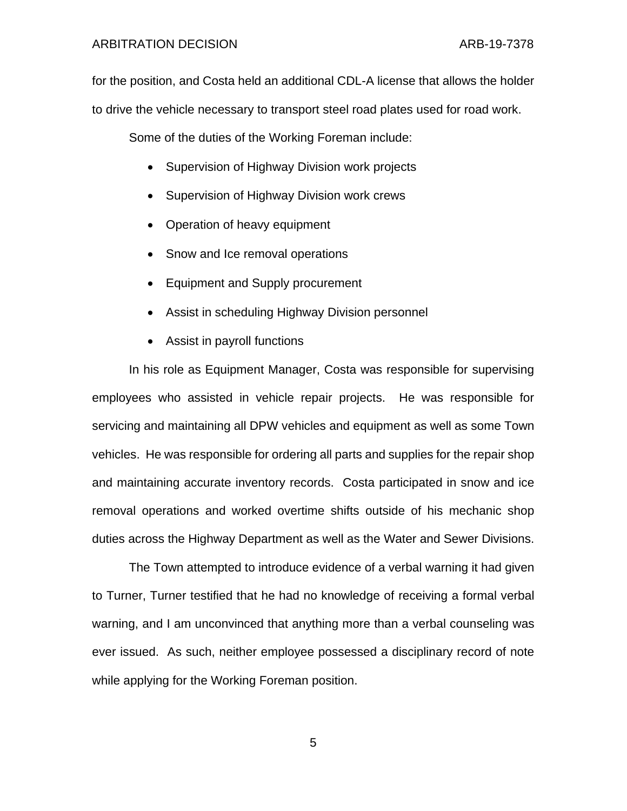## ARBITRATION DECISION ARB-19-7378

for the position, and Costa held an additional CDL-A license that allows the holder to drive the vehicle necessary to transport steel road plates used for road work.

Some of the duties of the Working Foreman include:

- Supervision of Highway Division work projects
- Supervision of Highway Division work crews
- Operation of heavy equipment
- Snow and Ice removal operations
- Equipment and Supply procurement
- Assist in scheduling Highway Division personnel
- Assist in payroll functions

In his role as Equipment Manager, Costa was responsible for supervising employees who assisted in vehicle repair projects. He was responsible for servicing and maintaining all DPW vehicles and equipment as well as some Town vehicles. He was responsible for ordering all parts and supplies for the repair shop and maintaining accurate inventory records. Costa participated in snow and ice removal operations and worked overtime shifts outside of his mechanic shop duties across the Highway Department as well as the Water and Sewer Divisions.

The Town attempted to introduce evidence of a verbal warning it had given to Turner, Turner testified that he had no knowledge of receiving a formal verbal warning, and I am unconvinced that anything more than a verbal counseling was ever issued. As such, neither employee possessed a disciplinary record of note while applying for the Working Foreman position.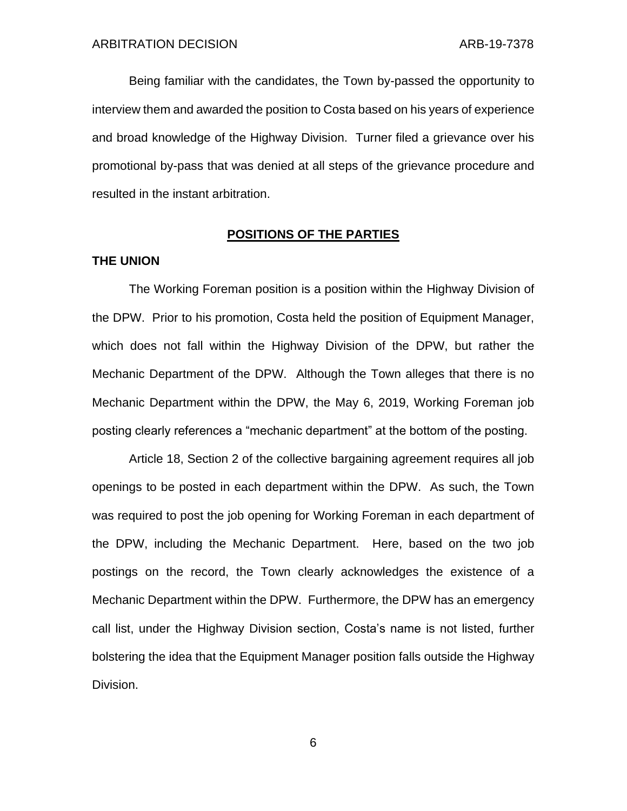Being familiar with the candidates, the Town by-passed the opportunity to interview them and awarded the position to Costa based on his years of experience and broad knowledge of the Highway Division. Turner filed a grievance over his promotional by-pass that was denied at all steps of the grievance procedure and resulted in the instant arbitration.

## **POSITIONS OF THE PARTIES**

### **THE UNION**

The Working Foreman position is a position within the Highway Division of the DPW. Prior to his promotion, Costa held the position of Equipment Manager, which does not fall within the Highway Division of the DPW, but rather the Mechanic Department of the DPW. Although the Town alleges that there is no Mechanic Department within the DPW, the May 6, 2019, Working Foreman job posting clearly references a "mechanic department" at the bottom of the posting.

Article 18, Section 2 of the collective bargaining agreement requires all job openings to be posted in each department within the DPW. As such, the Town was required to post the job opening for Working Foreman in each department of the DPW, including the Mechanic Department. Here, based on the two job postings on the record, the Town clearly acknowledges the existence of a Mechanic Department within the DPW. Furthermore, the DPW has an emergency call list, under the Highway Division section, Costa's name is not listed, further bolstering the idea that the Equipment Manager position falls outside the Highway Division.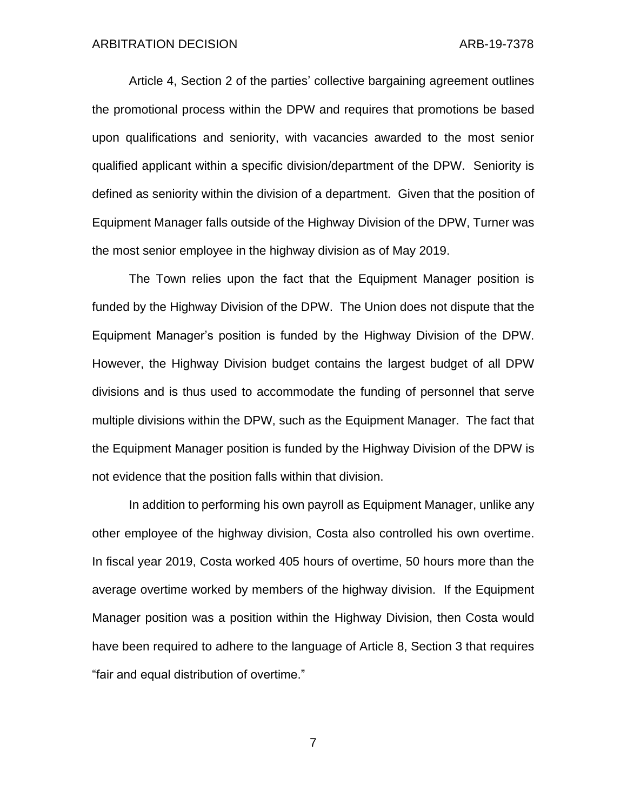Article 4, Section 2 of the parties' collective bargaining agreement outlines the promotional process within the DPW and requires that promotions be based upon qualifications and seniority, with vacancies awarded to the most senior qualified applicant within a specific division/department of the DPW. Seniority is defined as seniority within the division of a department. Given that the position of Equipment Manager falls outside of the Highway Division of the DPW, Turner was the most senior employee in the highway division as of May 2019.

The Town relies upon the fact that the Equipment Manager position is funded by the Highway Division of the DPW. The Union does not dispute that the Equipment Manager's position is funded by the Highway Division of the DPW. However, the Highway Division budget contains the largest budget of all DPW divisions and is thus used to accommodate the funding of personnel that serve multiple divisions within the DPW, such as the Equipment Manager. The fact that the Equipment Manager position is funded by the Highway Division of the DPW is not evidence that the position falls within that division.

In addition to performing his own payroll as Equipment Manager, unlike any other employee of the highway division, Costa also controlled his own overtime. In fiscal year 2019, Costa worked 405 hours of overtime, 50 hours more than the average overtime worked by members of the highway division. If the Equipment Manager position was a position within the Highway Division, then Costa would have been required to adhere to the language of Article 8, Section 3 that requires "fair and equal distribution of overtime."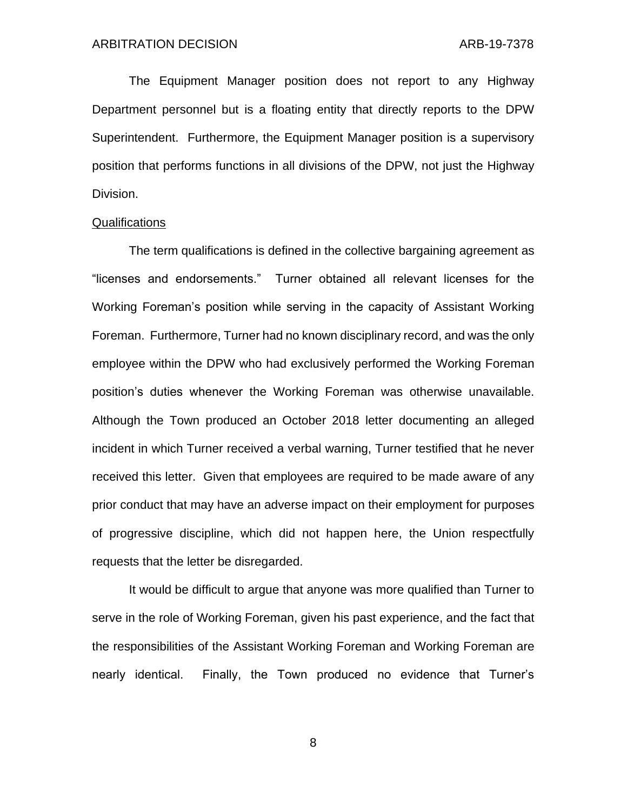The Equipment Manager position does not report to any Highway Department personnel but is a floating entity that directly reports to the DPW Superintendent. Furthermore, the Equipment Manager position is a supervisory position that performs functions in all divisions of the DPW, not just the Highway Division.

#### Qualifications

The term qualifications is defined in the collective bargaining agreement as "licenses and endorsements." Turner obtained all relevant licenses for the Working Foreman's position while serving in the capacity of Assistant Working Foreman. Furthermore, Turner had no known disciplinary record, and was the only employee within the DPW who had exclusively performed the Working Foreman position's duties whenever the Working Foreman was otherwise unavailable. Although the Town produced an October 2018 letter documenting an alleged incident in which Turner received a verbal warning, Turner testified that he never received this letter. Given that employees are required to be made aware of any prior conduct that may have an adverse impact on their employment for purposes of progressive discipline, which did not happen here, the Union respectfully requests that the letter be disregarded.

It would be difficult to argue that anyone was more qualified than Turner to serve in the role of Working Foreman, given his past experience, and the fact that the responsibilities of the Assistant Working Foreman and Working Foreman are nearly identical. Finally, the Town produced no evidence that Turner's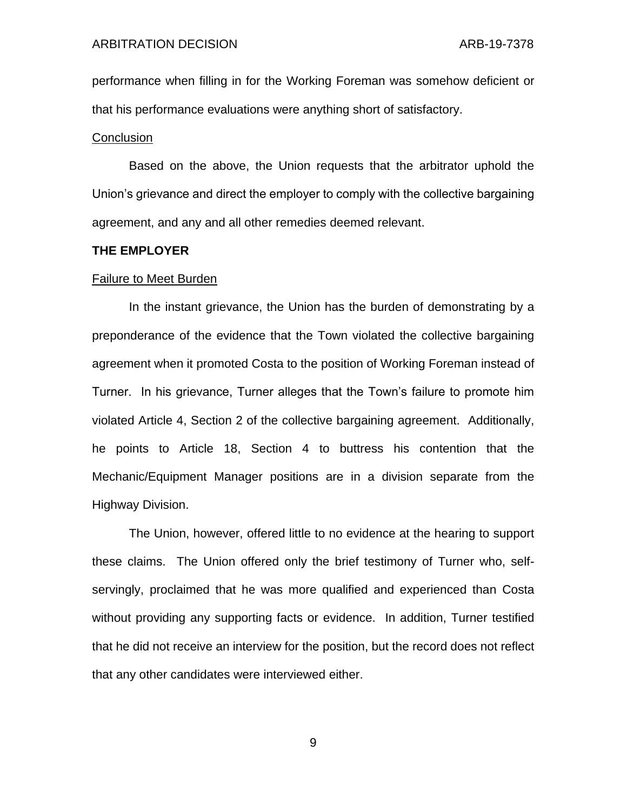performance when filling in for the Working Foreman was somehow deficient or that his performance evaluations were anything short of satisfactory.

#### **Conclusion**

Based on the above, the Union requests that the arbitrator uphold the Union's grievance and direct the employer to comply with the collective bargaining agreement, and any and all other remedies deemed relevant.

#### **THE EMPLOYER**

#### Failure to Meet Burden

In the instant grievance, the Union has the burden of demonstrating by a preponderance of the evidence that the Town violated the collective bargaining agreement when it promoted Costa to the position of Working Foreman instead of Turner. In his grievance, Turner alleges that the Town's failure to promote him violated Article 4, Section 2 of the collective bargaining agreement. Additionally, he points to Article 18, Section 4 to buttress his contention that the Mechanic/Equipment Manager positions are in a division separate from the Highway Division.

The Union, however, offered little to no evidence at the hearing to support these claims. The Union offered only the brief testimony of Turner who, selfservingly, proclaimed that he was more qualified and experienced than Costa without providing any supporting facts or evidence. In addition, Turner testified that he did not receive an interview for the position, but the record does not reflect that any other candidates were interviewed either.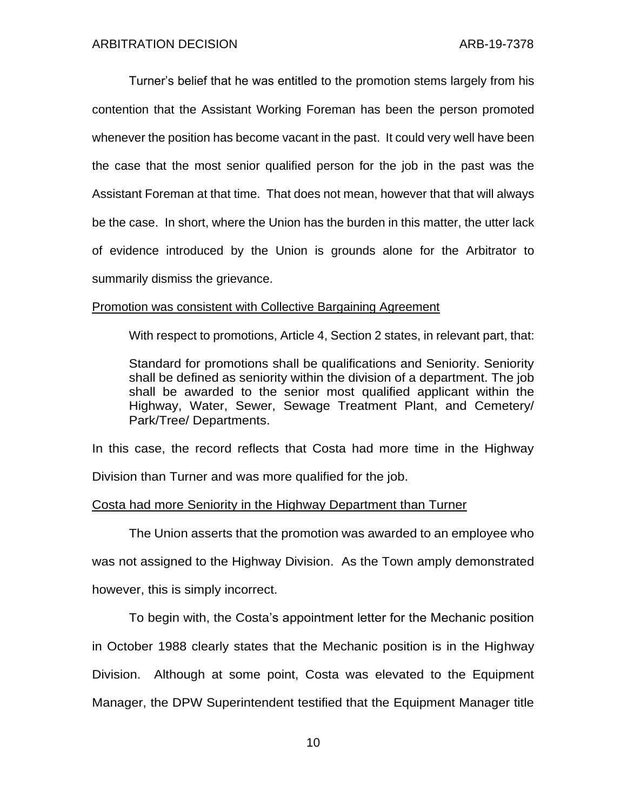Turner's belief that he was entitled to the promotion stems largely from his contention that the Assistant Working Foreman has been the person promoted whenever the position has become vacant in the past. It could very well have been the case that the most senior qualified person for the job in the past was the Assistant Foreman at that time. That does not mean, however that that will always be the case. In short, where the Union has the burden in this matter, the utter lack of evidence introduced by the Union is grounds alone for the Arbitrator to summarily dismiss the grievance.

### Promotion was consistent with Collective Bargaining Agreement

With respect to promotions, Article 4, Section 2 states, in relevant part, that:

Standard for promotions shall be qualifications and Seniority. Seniority shall be defined as seniority within the division of a department. The job shall be awarded to the senior most qualified applicant within the Highway, Water, Sewer, Sewage Treatment Plant, and Cemetery/ Park/Tree/ Departments.

In this case, the record reflects that Costa had more time in the Highway Division than Turner and was more qualified for the job.

#### Costa had more Seniority in the Highway Department than Turner

The Union asserts that the promotion was awarded to an employee who was not assigned to the Highway Division. As the Town amply demonstrated however, this is simply incorrect.

To begin with, the Costa's appointment letter for the Mechanic position in October 1988 clearly states that the Mechanic position is in the Highway Division. Although at some point, Costa was elevated to the Equipment Manager, the DPW Superintendent testified that the Equipment Manager title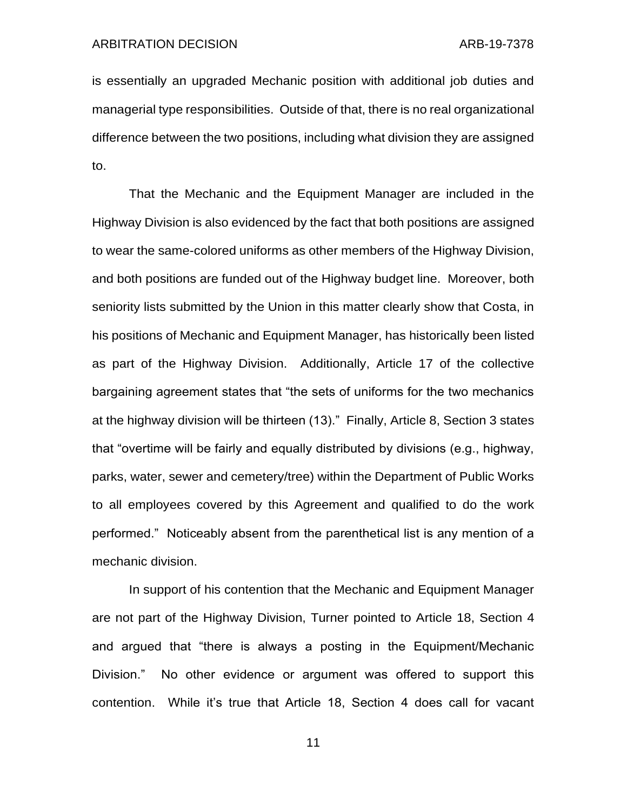is essentially an upgraded Mechanic position with additional job duties and managerial type responsibilities. Outside of that, there is no real organizational difference between the two positions, including what division they are assigned to.

That the Mechanic and the Equipment Manager are included in the Highway Division is also evidenced by the fact that both positions are assigned to wear the same-colored uniforms as other members of the Highway Division, and both positions are funded out of the Highway budget line. Moreover, both seniority lists submitted by the Union in this matter clearly show that Costa, in his positions of Mechanic and Equipment Manager, has historically been listed as part of the Highway Division. Additionally, Article 17 of the collective bargaining agreement states that "the sets of uniforms for the two mechanics at the highway division will be thirteen (13)." Finally, Article 8, Section 3 states that "overtime will be fairly and equally distributed by divisions (e.g., highway, parks, water, sewer and cemetery/tree) within the Department of Public Works to all employees covered by this Agreement and qualified to do the work performed." Noticeably absent from the parenthetical list is any mention of a mechanic division.

In support of his contention that the Mechanic and Equipment Manager are not part of the Highway Division, Turner pointed to Article 18, Section 4 and argued that "there is always a posting in the Equipment/Mechanic Division." No other evidence or argument was offered to support this contention. While it's true that Article 18, Section 4 does call for vacant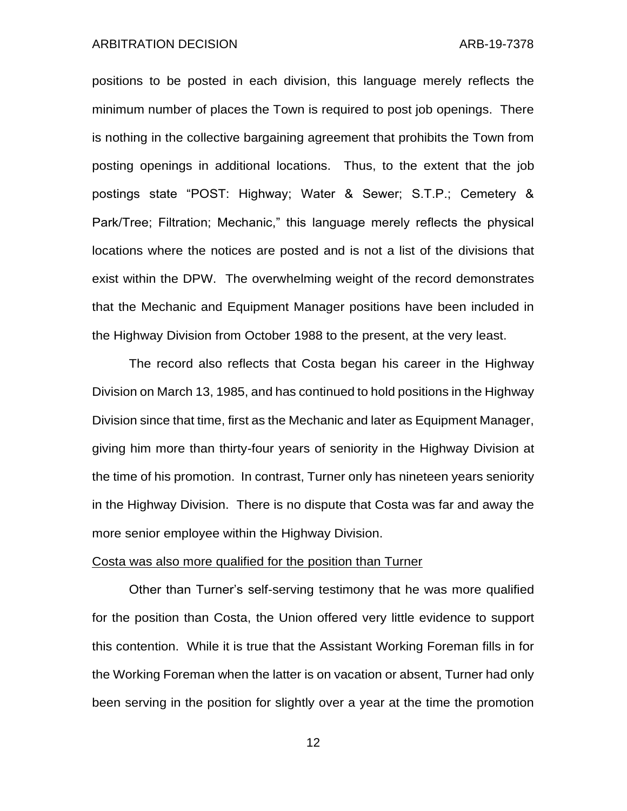#### ARBITRATION DECISION ARB-19-7378

positions to be posted in each division, this language merely reflects the minimum number of places the Town is required to post job openings. There is nothing in the collective bargaining agreement that prohibits the Town from posting openings in additional locations. Thus, to the extent that the job postings state "POST: Highway; Water & Sewer; S.T.P.; Cemetery & Park/Tree; Filtration; Mechanic," this language merely reflects the physical locations where the notices are posted and is not a list of the divisions that exist within the DPW. The overwhelming weight of the record demonstrates that the Mechanic and Equipment Manager positions have been included in the Highway Division from October 1988 to the present, at the very least.

The record also reflects that Costa began his career in the Highway Division on March 13, 1985, and has continued to hold positions in the Highway Division since that time, first as the Mechanic and later as Equipment Manager, giving him more than thirty-four years of seniority in the Highway Division at the time of his promotion. In contrast, Turner only has nineteen years seniority in the Highway Division. There is no dispute that Costa was far and away the more senior employee within the Highway Division.

## Costa was also more qualified for the position than Turner

Other than Turner's self-serving testimony that he was more qualified for the position than Costa, the Union offered very little evidence to support this contention. While it is true that the Assistant Working Foreman fills in for the Working Foreman when the latter is on vacation or absent, Turner had only been serving in the position for slightly over a year at the time the promotion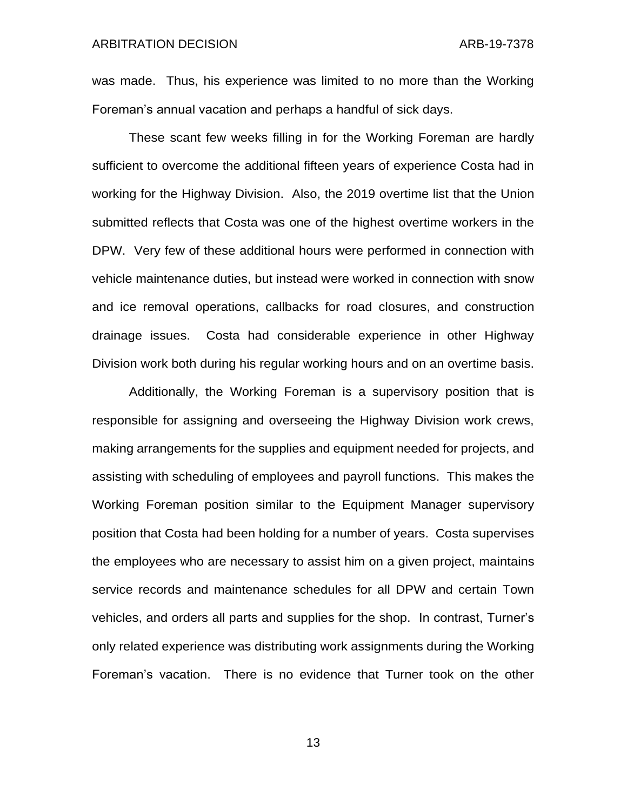was made. Thus, his experience was limited to no more than the Working Foreman's annual vacation and perhaps a handful of sick days.

These scant few weeks filling in for the Working Foreman are hardly sufficient to overcome the additional fifteen years of experience Costa had in working for the Highway Division. Also, the 2019 overtime list that the Union submitted reflects that Costa was one of the highest overtime workers in the DPW. Very few of these additional hours were performed in connection with vehicle maintenance duties, but instead were worked in connection with snow and ice removal operations, callbacks for road closures, and construction drainage issues. Costa had considerable experience in other Highway Division work both during his regular working hours and on an overtime basis.

Additionally, the Working Foreman is a supervisory position that is responsible for assigning and overseeing the Highway Division work crews, making arrangements for the supplies and equipment needed for projects, and assisting with scheduling of employees and payroll functions. This makes the Working Foreman position similar to the Equipment Manager supervisory position that Costa had been holding for a number of years. Costa supervises the employees who are necessary to assist him on a given project, maintains service records and maintenance schedules for all DPW and certain Town vehicles, and orders all parts and supplies for the shop. In contrast, Turner's only related experience was distributing work assignments during the Working Foreman's vacation. There is no evidence that Turner took on the other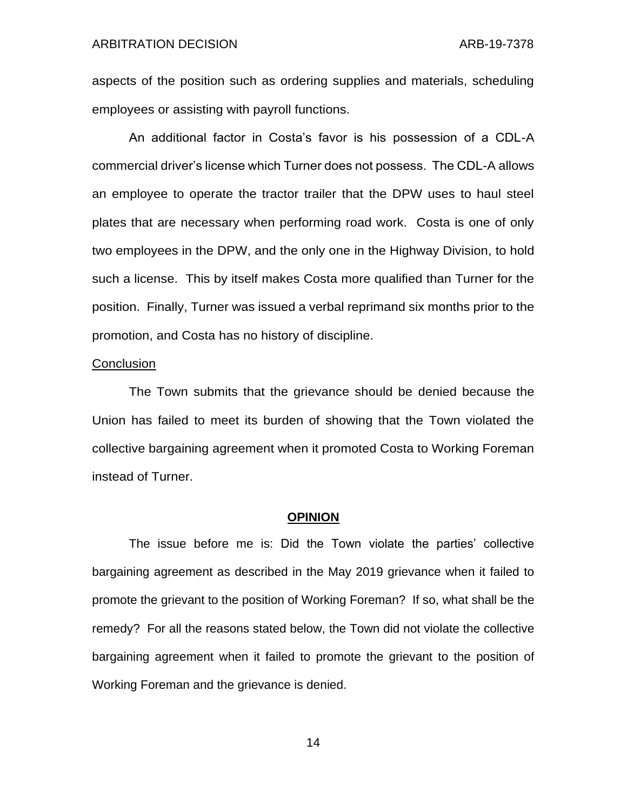aspects of the position such as ordering supplies and materials, scheduling employees or assisting with payroll functions.

An additional factor in Costa's favor is his possession of a CDL-A commercial driver's license which Turner does not possess. The CDL-A allows an employee to operate the tractor trailer that the DPW uses to haul steel plates that are necessary when performing road work. Costa is one of only two employees in the DPW, and the only one in the Highway Division, to hold such a license. This by itself makes Costa more qualified than Turner for the position. Finally, Turner was issued a verbal reprimand six months prior to the promotion, and Costa has no history of discipline.

#### **Conclusion**

The Town submits that the grievance should be denied because the Union has failed to meet its burden of showing that the Town violated the collective bargaining agreement when it promoted Costa to Working Foreman instead of Turner.

#### **OPINION**

The issue before me is: Did the Town violate the parties' collective bargaining agreement as described in the May 2019 grievance when it failed to promote the grievant to the position of Working Foreman? If so, what shall be the remedy? For all the reasons stated below, the Town did not violate the collective bargaining agreement when it failed to promote the grievant to the position of Working Foreman and the grievance is denied.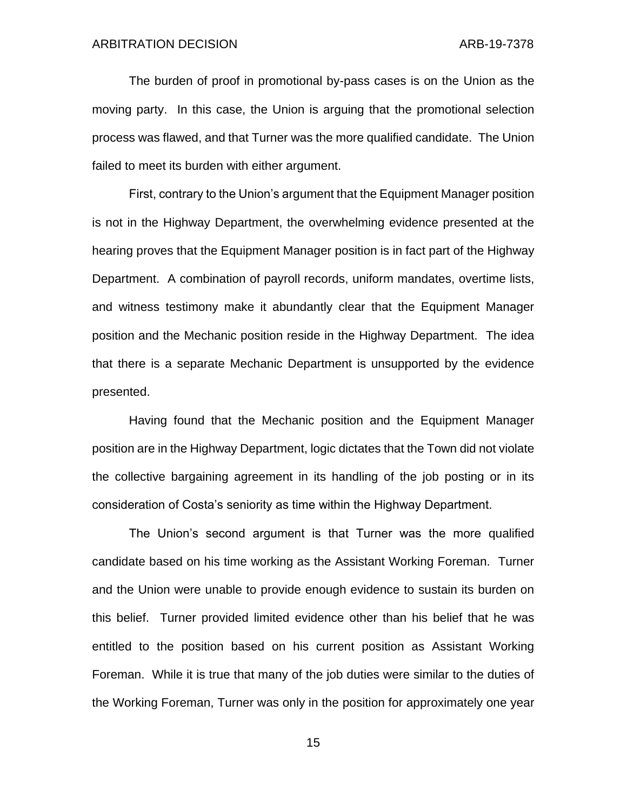The burden of proof in promotional by-pass cases is on the Union as the moving party. In this case, the Union is arguing that the promotional selection process was flawed, and that Turner was the more qualified candidate. The Union failed to meet its burden with either argument.

First, contrary to the Union's argument that the Equipment Manager position is not in the Highway Department, the overwhelming evidence presented at the hearing proves that the Equipment Manager position is in fact part of the Highway Department. A combination of payroll records, uniform mandates, overtime lists, and witness testimony make it abundantly clear that the Equipment Manager position and the Mechanic position reside in the Highway Department. The idea that there is a separate Mechanic Department is unsupported by the evidence presented.

Having found that the Mechanic position and the Equipment Manager position are in the Highway Department, logic dictates that the Town did not violate the collective bargaining agreement in its handling of the job posting or in its consideration of Costa's seniority as time within the Highway Department.

The Union's second argument is that Turner was the more qualified candidate based on his time working as the Assistant Working Foreman. Turner and the Union were unable to provide enough evidence to sustain its burden on this belief. Turner provided limited evidence other than his belief that he was entitled to the position based on his current position as Assistant Working Foreman. While it is true that many of the job duties were similar to the duties of the Working Foreman, Turner was only in the position for approximately one year